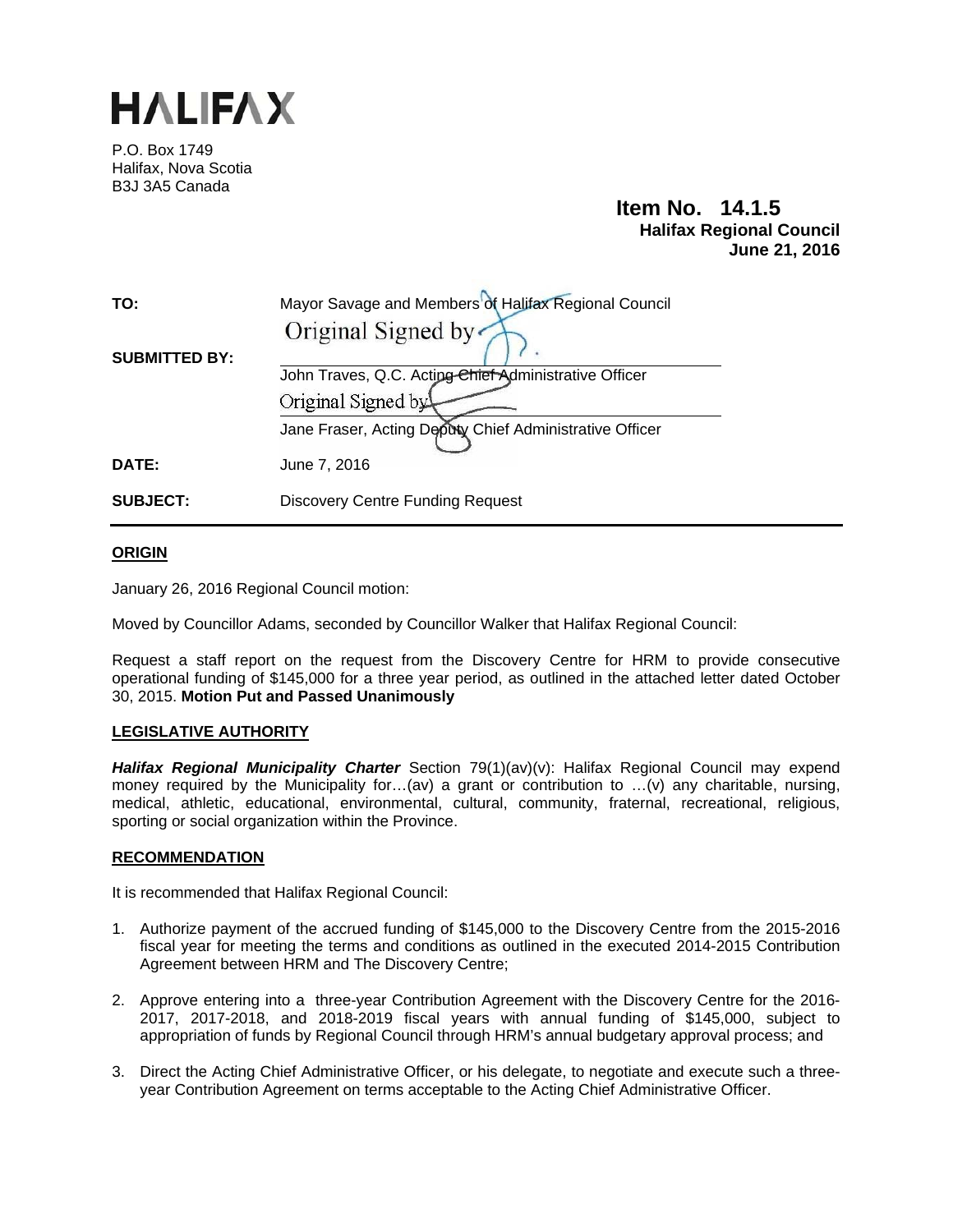

P.O. Box 1749 Halifax, Nova Scotia B3J 3A5 Canada

# **Item No. 14.1.5 Halifax Regional Council June 21, 2016**

| TO:                  | Mayor Savage and Members of Halifax Regional Council    |  |  |  |
|----------------------|---------------------------------------------------------|--|--|--|
|                      | Original Signed by                                      |  |  |  |
| <b>SUBMITTED BY:</b> |                                                         |  |  |  |
|                      | John Traves, Q.C. Acting Chief Administrative Officer   |  |  |  |
|                      | Original Signed by                                      |  |  |  |
|                      | Jane Fraser, Acting Deputy Chief Administrative Officer |  |  |  |
| DATE:                | June 7, 2016                                            |  |  |  |
| <b>SUBJECT:</b>      | <b>Discovery Centre Funding Request</b>                 |  |  |  |

#### **ORIGIN**

January 26, 2016 Regional Council motion:

Moved by Councillor Adams, seconded by Councillor Walker that Halifax Regional Council:

Request a staff report on the request from the Discovery Centre for HRM to provide consecutive operational funding of \$145,000 for a three year period, as outlined in the attached letter dated October 30, 2015. **Motion Put and Passed Unanimously**

#### **LEGISLATIVE AUTHORITY**

*Halifax Regional Municipality Charter* Section 79(1)(av)(v): Halifax Regional Council may expend money required by the Municipality for...(av) a grant or contribution to ...(v) any charitable, nursing, medical, athletic, educational, environmental, cultural, community, fraternal, recreational, religious, sporting or social organization within the Province.

#### **RECOMMENDATION**

It is recommended that Halifax Regional Council:

- 1. Authorize payment of the accrued funding of \$145,000 to the Discovery Centre from the 2015-2016 fiscal year for meeting the terms and conditions as outlined in the executed 2014-2015 Contribution Agreement between HRM and The Discovery Centre;
- 2. Approve entering into a three-year Contribution Agreement with the Discovery Centre for the 2016- 2017, 2017-2018, and 2018-2019 fiscal years with annual funding of \$145,000, subject to appropriation of funds by Regional Council through HRM's annual budgetary approval process; and
- 3. Direct the Acting Chief Administrative Officer, or his delegate, to negotiate and execute such a threeyear Contribution Agreement on terms acceptable to the Acting Chief Administrative Officer.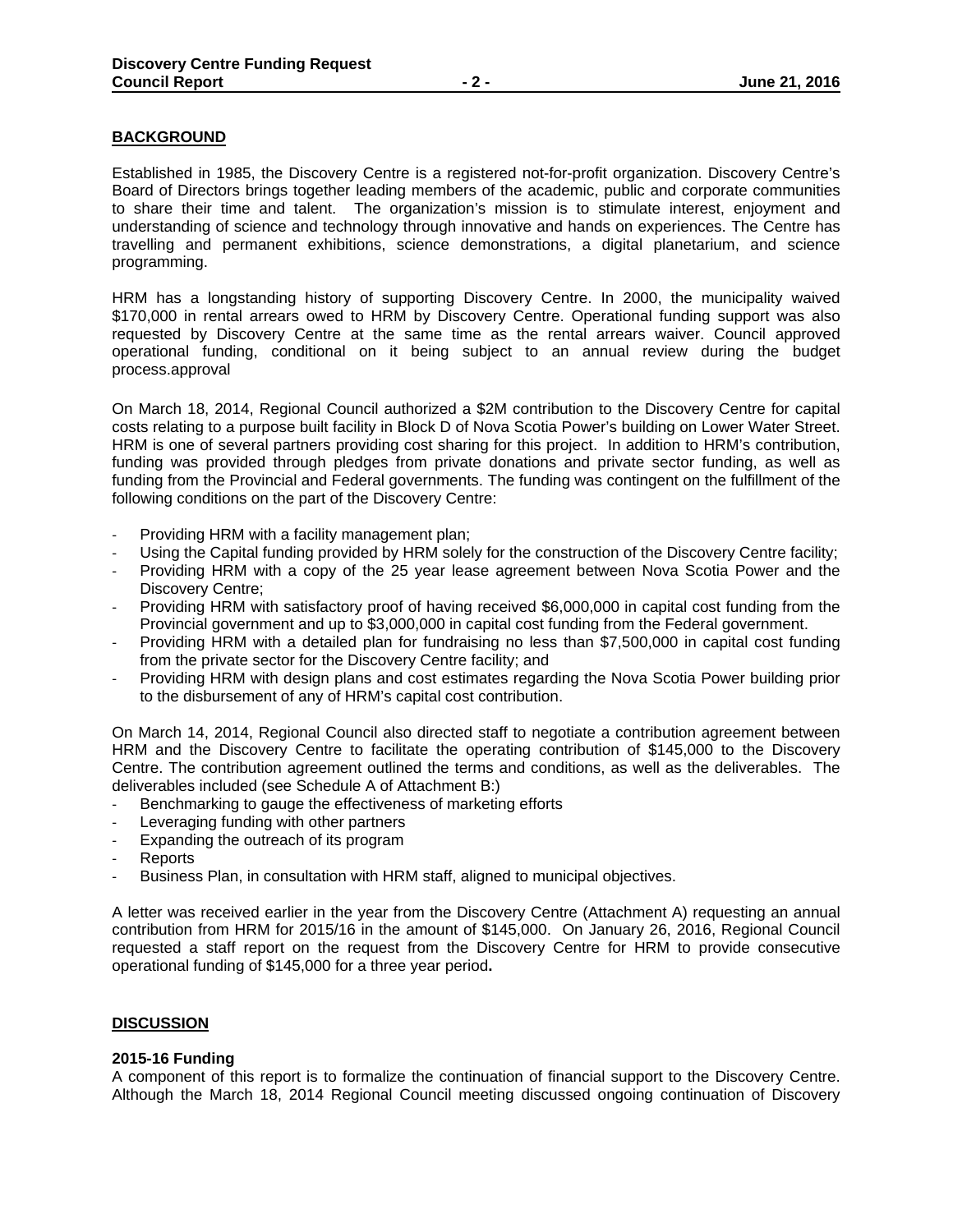#### **BACKGROUND**

Established in 1985, the Discovery Centre is a registered not-for-profit organization. Discovery Centre's Board of Directors brings together leading members of the academic, public and corporate communities to share their time and talent. The organization's mission is to stimulate interest, enjoyment and understanding of science and technology through innovative and hands on experiences. The Centre has travelling and permanent exhibitions, science demonstrations, a digital planetarium, and science programming.

HRM has a longstanding history of supporting Discovery Centre. In 2000, the municipality waived \$170,000 in rental arrears owed to HRM by Discovery Centre. Operational funding support was also requested by Discovery Centre at the same time as the rental arrears waiver. Council approved operational funding, conditional on it being subject to an annual review during the budget process.approval

On March 18, 2014, Regional Council authorized a \$2M contribution to the Discovery Centre for capital costs relating to a purpose built facility in Block D of Nova Scotia Power's building on Lower Water Street. HRM is one of several partners providing cost sharing for this project. In addition to HRM's contribution, funding was provided through pledges from private donations and private sector funding, as well as funding from the Provincial and Federal governments. The funding was contingent on the fulfillment of the following conditions on the part of the Discovery Centre:

- ‐ Providing HRM with a facility management plan;
- Using the Capital funding provided by HRM solely for the construction of the Discovery Centre facility;
- ‐ Providing HRM with a copy of the 25 year lease agreement between Nova Scotia Power and the Discovery Centre;
- Providing HRM with satisfactory proof of having received \$6,000,000 in capital cost funding from the Provincial government and up to \$3,000,000 in capital cost funding from the Federal government.
- ‐ Providing HRM with a detailed plan for fundraising no less than \$7,500,000 in capital cost funding from the private sector for the Discovery Centre facility; and
- ‐ Providing HRM with design plans and cost estimates regarding the Nova Scotia Power building prior to the disbursement of any of HRM's capital cost contribution.

On March 14, 2014, Regional Council also directed staff to negotiate a contribution agreement between HRM and the Discovery Centre to facilitate the operating contribution of \$145,000 to the Discovery Centre. The contribution agreement outlined the terms and conditions, as well as the deliverables. The deliverables included (see Schedule A of Attachment B:)

- Benchmarking to gauge the effectiveness of marketing efforts
- Leveraging funding with other partners
- Expanding the outreach of its program
- ‐ Reports
- Business Plan, in consultation with HRM staff, aligned to municipal objectives.

A letter was received earlier in the year from the Discovery Centre (Attachment A) requesting an annual contribution from HRM for 2015/16 in the amount of \$145,000. On January 26, 2016, Regional Council requested a staff report on the request from the Discovery Centre for HRM to provide consecutive operational funding of \$145,000 for a three year period**.**

#### **DISCUSSION**

#### **2015-16 Funding**

A component of this report is to formalize the continuation of financial support to the Discovery Centre. Although the March 18, 2014 Regional Council meeting discussed ongoing continuation of Discovery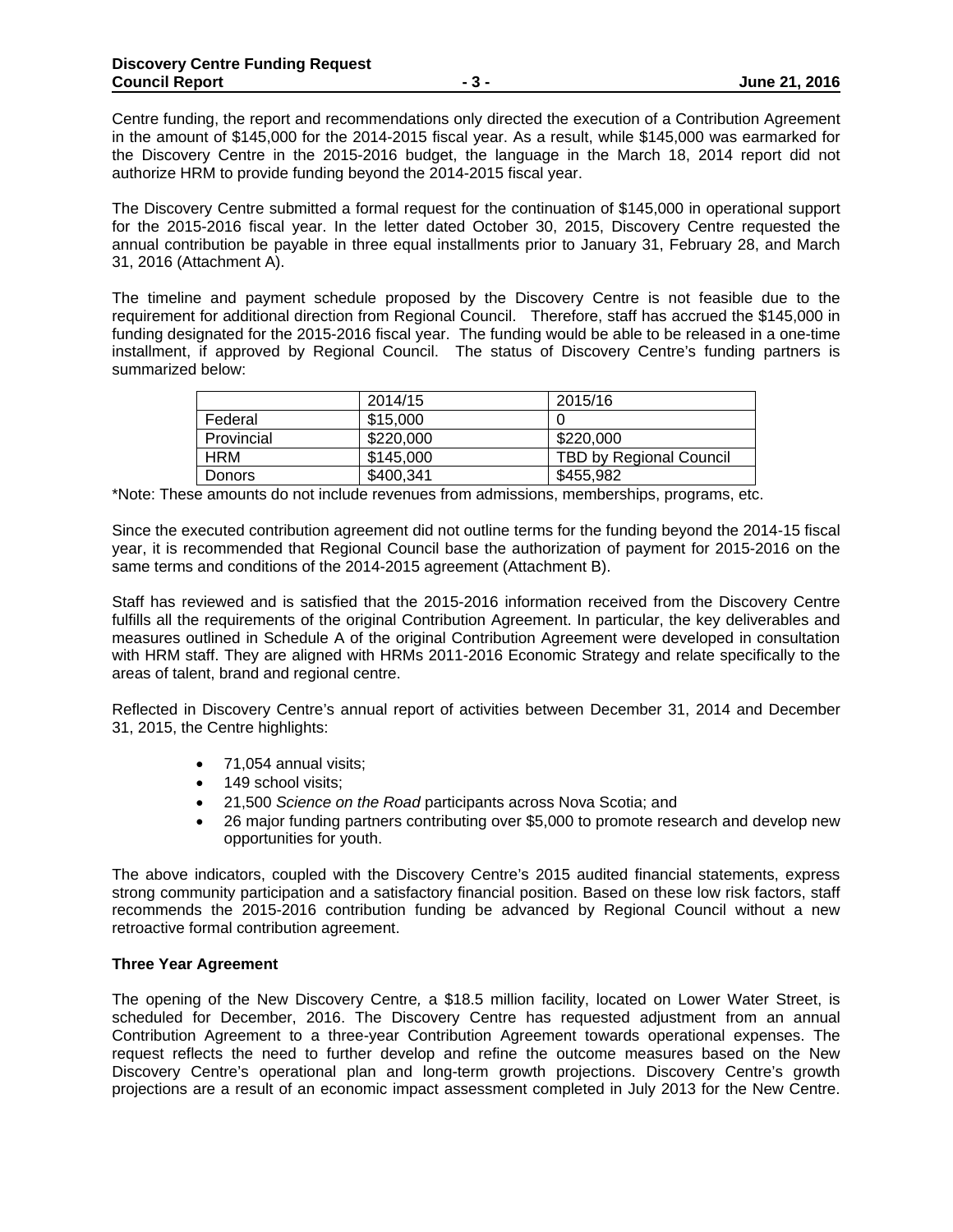Centre funding, the report and recommendations only directed the execution of a Contribution Agreement in the amount of \$145,000 for the 2014-2015 fiscal year. As a result, while \$145,000 was earmarked for the Discovery Centre in the 2015-2016 budget, the language in the March 18, 2014 report did not authorize HRM to provide funding beyond the 2014-2015 fiscal year.

The Discovery Centre submitted a formal request for the continuation of \$145,000 in operational support for the 2015-2016 fiscal year. In the letter dated October 30, 2015, Discovery Centre requested the annual contribution be payable in three equal installments prior to January 31, February 28, and March 31, 2016 (Attachment A).

The timeline and payment schedule proposed by the Discovery Centre is not feasible due to the requirement for additional direction from Regional Council. Therefore, staff has accrued the \$145,000 in funding designated for the 2015-2016 fiscal year. The funding would be able to be released in a one-time installment, if approved by Regional Council. The status of Discovery Centre's funding partners is summarized below:

|            | 2014/15   | 2015/16                        |
|------------|-----------|--------------------------------|
| Federal    | \$15,000  |                                |
| Provincial | \$220,000 | \$220,000                      |
| <b>HRM</b> | \$145,000 | <b>TBD by Regional Council</b> |
| Donors     | \$400,341 | \$455,982                      |

\*Note: These amounts do not include revenues from admissions, memberships, programs, etc.

Since the executed contribution agreement did not outline terms for the funding beyond the 2014-15 fiscal year, it is recommended that Regional Council base the authorization of payment for 2015-2016 on the same terms and conditions of the 2014-2015 agreement (Attachment B).

Staff has reviewed and is satisfied that the 2015-2016 information received from the Discovery Centre fulfills all the requirements of the original Contribution Agreement. In particular, the key deliverables and measures outlined in Schedule A of the original Contribution Agreement were developed in consultation with HRM staff. They are aligned with HRMs 2011-2016 Economic Strategy and relate specifically to the areas of talent, brand and regional centre.

Reflected in Discovery Centre's annual report of activities between December 31, 2014 and December 31, 2015, the Centre highlights:

- 71,054 annual visits;
- 149 school visits:
- 21,500 *Science on the Road* participants across Nova Scotia; and
- 26 major funding partners contributing over \$5,000 to promote research and develop new opportunities for youth.

The above indicators, coupled with the Discovery Centre's 2015 audited financial statements, express strong community participation and a satisfactory financial position. Based on these low risk factors, staff recommends the 2015-2016 contribution funding be advanced by Regional Council without a new retroactive formal contribution agreement.

#### **Three Year Agreement**

The opening of the New Discovery Centre*,* a \$18.5 million facility, located on Lower Water Street, is scheduled for December, 2016. The Discovery Centre has requested adjustment from an annual Contribution Agreement to a three-year Contribution Agreement towards operational expenses. The request reflects the need to further develop and refine the outcome measures based on the New Discovery Centre's operational plan and long-term growth projections. Discovery Centre's growth projections are a result of an economic impact assessment completed in July 2013 for the New Centre.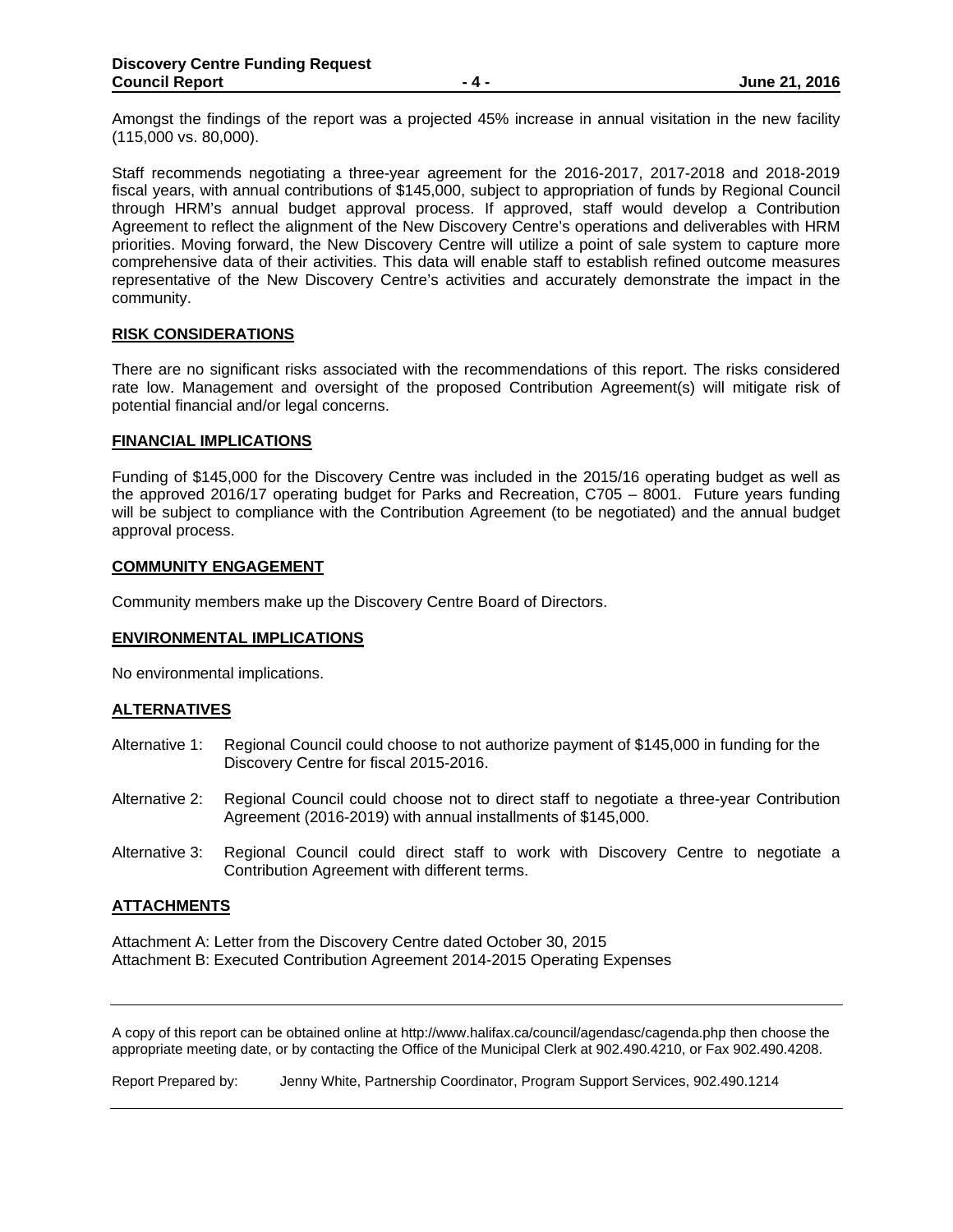Amongst the findings of the report was a projected 45% increase in annual visitation in the new facility (115,000 vs. 80,000).

Staff recommends negotiating a three-year agreement for the 2016-2017, 2017-2018 and 2018-2019 fiscal years, with annual contributions of \$145,000, subject to appropriation of funds by Regional Council through HRM's annual budget approval process. If approved, staff would develop a Contribution Agreement to reflect the alignment of the New Discovery Centre's operations and deliverables with HRM priorities. Moving forward, the New Discovery Centre will utilize a point of sale system to capture more comprehensive data of their activities. This data will enable staff to establish refined outcome measures representative of the New Discovery Centre's activities and accurately demonstrate the impact in the community.

#### **RISK CONSIDERATIONS**

There are no significant risks associated with the recommendations of this report. The risks considered rate low. Management and oversight of the proposed Contribution Agreement(s) will mitigate risk of potential financial and/or legal concerns.

#### **FINANCIAL IMPLICATIONS**

Funding of \$145,000 for the Discovery Centre was included in the 2015/16 operating budget as well as the approved 2016/17 operating budget for Parks and Recreation, C705 – 8001. Future years funding will be subject to compliance with the Contribution Agreement (to be negotiated) and the annual budget approval process.

#### **COMMUNITY ENGAGEMENT**

Community members make up the Discovery Centre Board of Directors.

#### **ENVIRONMENTAL IMPLICATIONS**

No environmental implications.

#### **ALTERNATIVES**

- Alternative 1: Regional Council could choose to not authorize payment of \$145,000 in funding for the Discovery Centre for fiscal 2015-2016.
- Alternative 2: Regional Council could choose not to direct staff to negotiate a three-year Contribution Agreement (2016-2019) with annual installments of \$145,000.
- Alternative 3: Regional Council could direct staff to work with Discovery Centre to negotiate a Contribution Agreement with different terms.

#### **ATTACHMENTS**

Attachment A: Letter from the Discovery Centre dated October 30, 2015 Attachment B: Executed Contribution Agreement 2014-2015 Operating Expenses

A copy of this report can be obtained online at http://www.halifax.ca/council/agendasc/cagenda.php then choose the appropriate meeting date, or by contacting the Office of the Municipal Clerk at 902.490.4210, or Fax 902.490.4208.

Report Prepared by: Jenny White, Partnership Coordinator, Program Support Services, 902.490.1214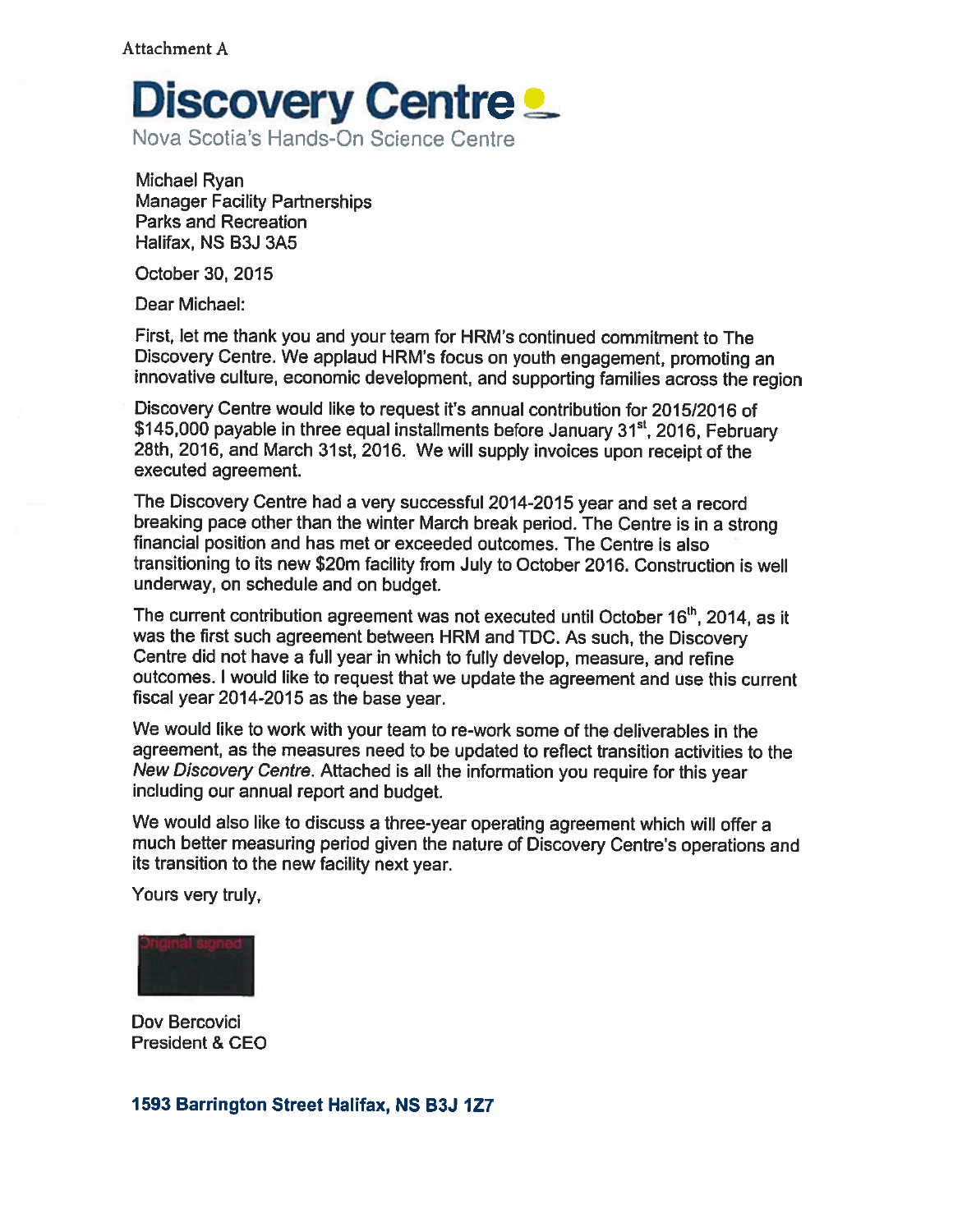

Michael Ryan **Manager Facility Partnerships Parks and Recreation** Halifax, NS B3J 3A5

October 30, 2015

Dear Michael:

First, let me thank you and your team for HRM's continued commitment to The Discovery Centre. We applaud HRM's focus on youth engagement, promoting an innovative culture, economic development, and supporting families across the region

Discovery Centre would like to request it's annual contribution for 2015/2016 of \$145,000 payable in three equal installments before January 31<sup>st</sup>, 2016. February 28th, 2016, and March 31st, 2016. We will supply invoices upon receipt of the executed agreement.

The Discovery Centre had a very successful 2014-2015 year and set a record breaking pace other than the winter March break period. The Centre is in a strong financial position and has met or exceeded outcomes. The Centre is also transitioning to its new \$20m facility from July to October 2016. Construction is well underway, on schedule and on budget.

The current contribution agreement was not executed until October 16<sup>th</sup>, 2014, as it was the first such agreement between HRM and TDC. As such, the Discovery Centre did not have a full year in which to fully develop, measure, and refine outcomes. I would like to request that we update the agreement and use this current fiscal year 2014-2015 as the base year.

We would like to work with your team to re-work some of the deliverables in the agreement, as the measures need to be updated to reflect transition activities to the New Discovery Centre. Attached is all the information you require for this year including our annual report and budget.

We would also like to discuss a three-year operating agreement which will offer a much better measuring period given the nature of Discovery Centre's operations and its transition to the new facility next year.

Yours very truly,



Dov Bercovici President & CEO

# 1593 Barrington Street Halifax, NS B3J 1Z7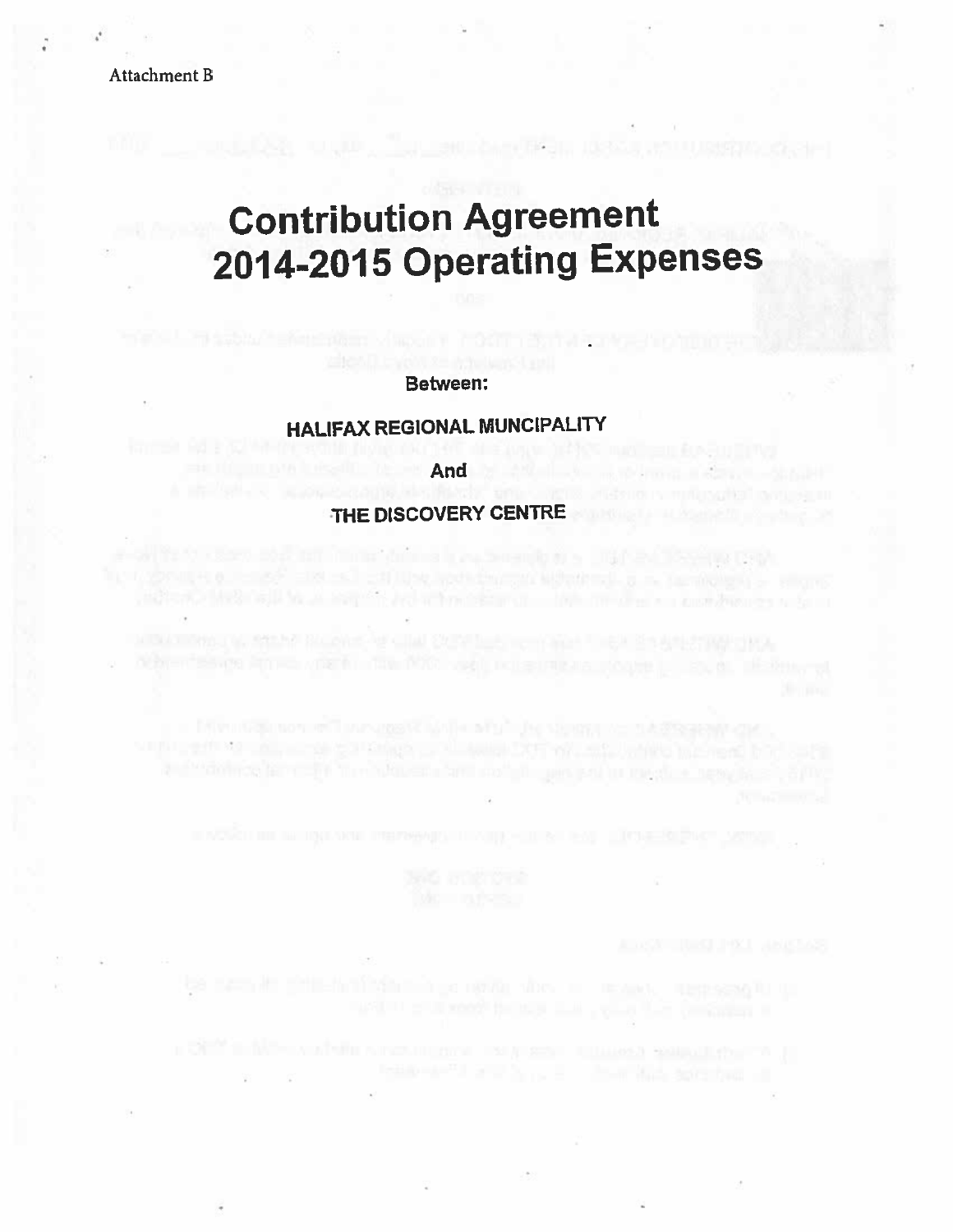# Attachment B

# **Contribution Agreement** 2014-2015 Operating Expenses

ntan na San Jawa

**BASIL 10** 

#### Between:

# **HALIFAX REGIONAL MUNCIPALITY**

#### And

# THE DISCOVERY CENTRE

off is to case and an immediate a consequence of a 100 and severe term In a submitted to the SF and and additional periodic interest interest. But a submitted by the property still and the side of a series and a branching of the product a common a family

with the first and the second state of the second state of the second first set in the second state of the second state of the second state of the second state of the second state of the second state of the second state of a condition for complete the objective and contain universal in magic a new facts. Suffice

**All any Modern Control of School and Academy Control of the Academy Control of the Academy Control of the Academy** 

I OF THE MORAL CONTROL INTO THE RESERVE HE WAS ARRESTED FOR THE RESERVE OF THE RESERVE OF THE RESERVE OF THE RESERVE OF THE RESERVE OF THE RESERVE OF THE RESERVE OF THE RESERVE OF THE RESERVE OF THE RESERVE OF THE RESERVE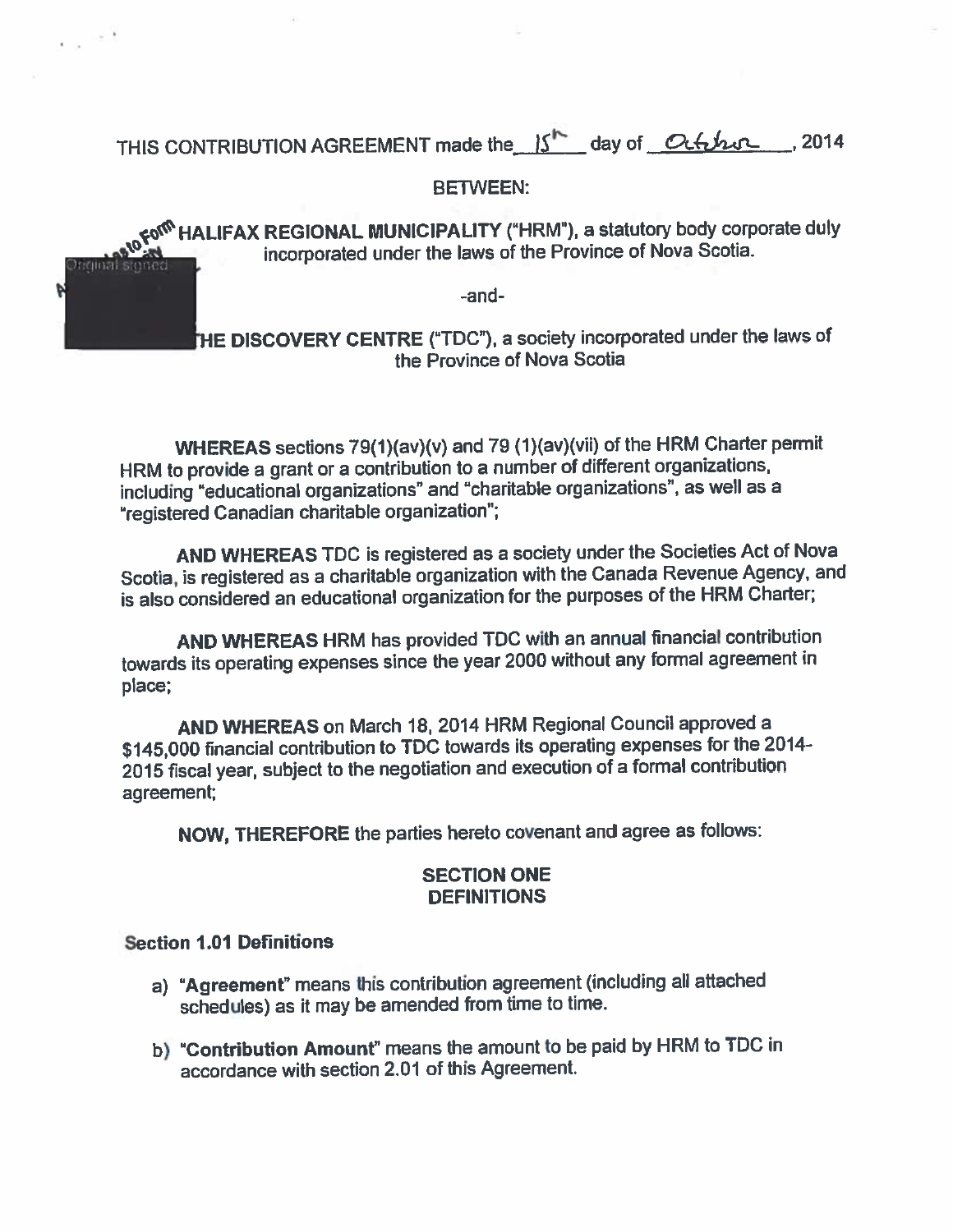THIS CONTRIBUTION AGREEMENT made the 15<sup>th</sup> day of October  $.2014$ 

# **BETWEEN:**

co<sup>ro</sup> HALIFAX REGIONAL MUNICIPALITY ("HRM"), a statutory body corporate duly incorporated under the laws of the Province of Nova Scotia. nginat

-and-

THE DISCOVERY CENTRE ("TDC"), a society incorporated under the laws of the Province of Nova Scotia

WHEREAS sections 79(1)(av)(v) and 79 (1)(av)(vii) of the HRM Charter permit HRM to provide a grant or a contribution to a number of different organizations, including "educational organizations" and "charitable organizations", as well as a "registered Canadian charitable organization";

AND WHEREAS TDC is registered as a society under the Societies Act of Nova Scotia, is registered as a charitable organization with the Canada Revenue Agency, and is also considered an educational organization for the purposes of the HRM Charter;

AND WHEREAS HRM has provided TDC with an annual financial contribution towards its operating expenses since the year 2000 without any formal agreement in place;

AND WHEREAS on March 18, 2014 HRM Regional Council approved a \$145,000 financial contribution to TDC towards its operating expenses for the 2014-2015 fiscal year, subject to the negotiation and execution of a formal contribution agreement:

NOW, THEREFORE the parties hereto covenant and agree as follows:

# **SECTION ONE DEFINITIONS**

# **Section 1.01 Definitions**

Þ

- a) "Agreement" means this contribution agreement (including all attached schedules) as it may be amended from time to time.
- b) "Contribution Amount" means the amount to be paid by HRM to TDC in accordance with section 2.01 of this Agreement.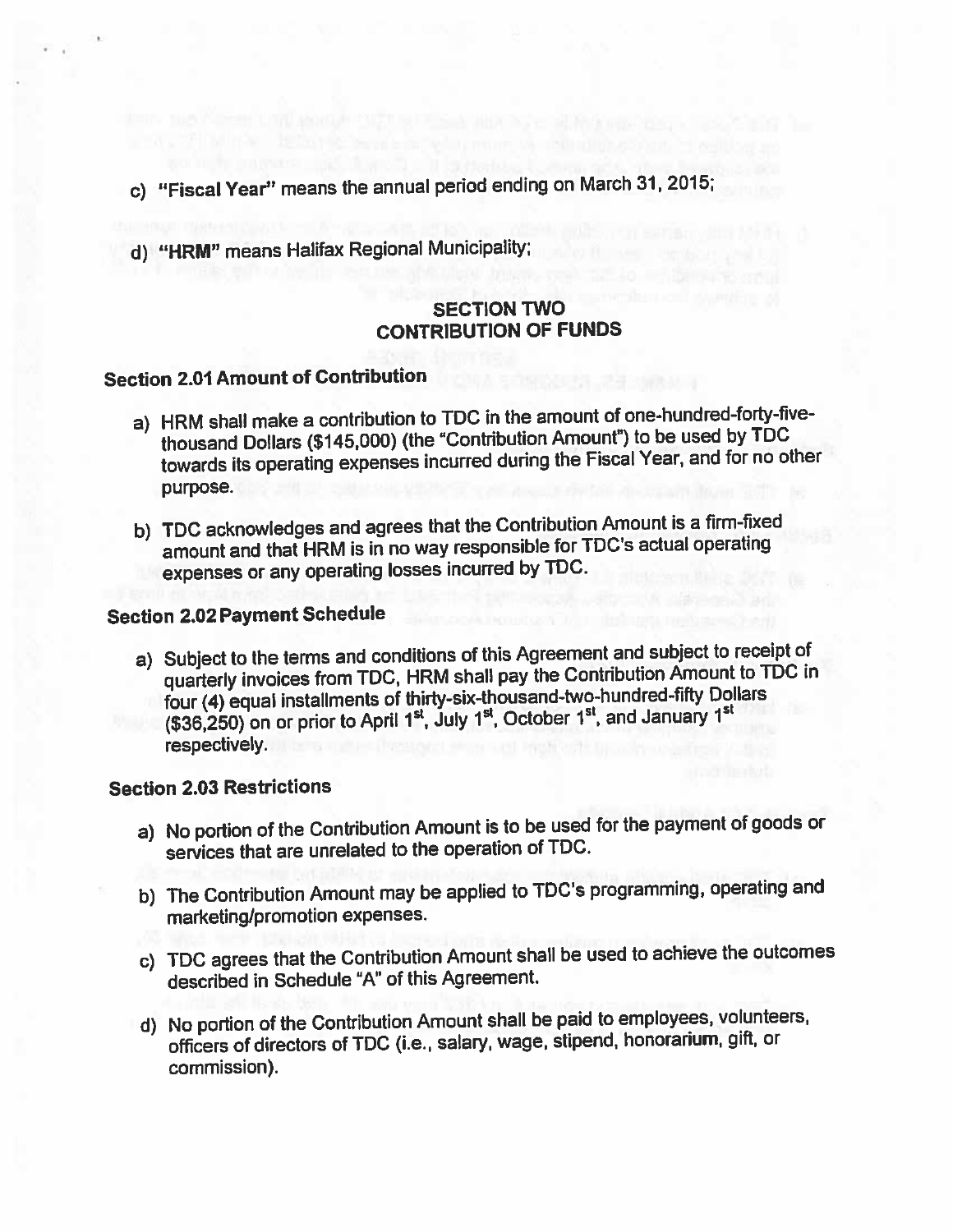- c) "Fiscal Year" means the annual period ending on March 31, 2015;
- d) "HRM" means Halifax Regional Municipality;

# **SECTION TWO CONTRIBUTION OF FUNDS**

# **Section 2.01 Amount of Contribution**

- a) HRM shall make a contribution to TDC in the amount of one-hundred-forty-fivethousand Dollars (\$145,000) (the "Contribution Amount") to be used by TDC towards its operating expenses incurred during the Fiscal Year, and for no other purpose.
- b) TDC acknowledges and agrees that the Contribution Amount is a firm-fixed amount and that HRM is in no way responsible for TDC's actual operating expenses or any operating losses incurred by TDC.

# **Section 2.02 Payment Schedule**

a) Subject to the terms and conditions of this Agreement and subject to receipt of quarterly invoices from TDC, HRM shall pay the Contribution Amount to TDC in four (4) equal installments of thirty-six-thousand-two-hundred-fifty Dollars (\$36,250) on or prior to April 1<sup>st</sup>, July 1<sup>st</sup>, October 1<sup>st</sup>, and January 1<sup>st</sup> respectively.

# **Section 2.03 Restrictions**

- a) No portion of the Contribution Amount is to be used for the payment of goods or services that are unrelated to the operation of TDC.
- b) The Contribution Amount may be applied to TDC's programming, operating and marketing/promotion expenses.
- c) TDC agrees that the Contribution Amount shall be used to achieve the outcomes described in Schedule "A" of this Agreement.
- d) No portion of the Contribution Amount shall be paid to employees, volunteers, officers of directors of TDC (i.e., salary, wage, stipend, honorarium, gift, or commission).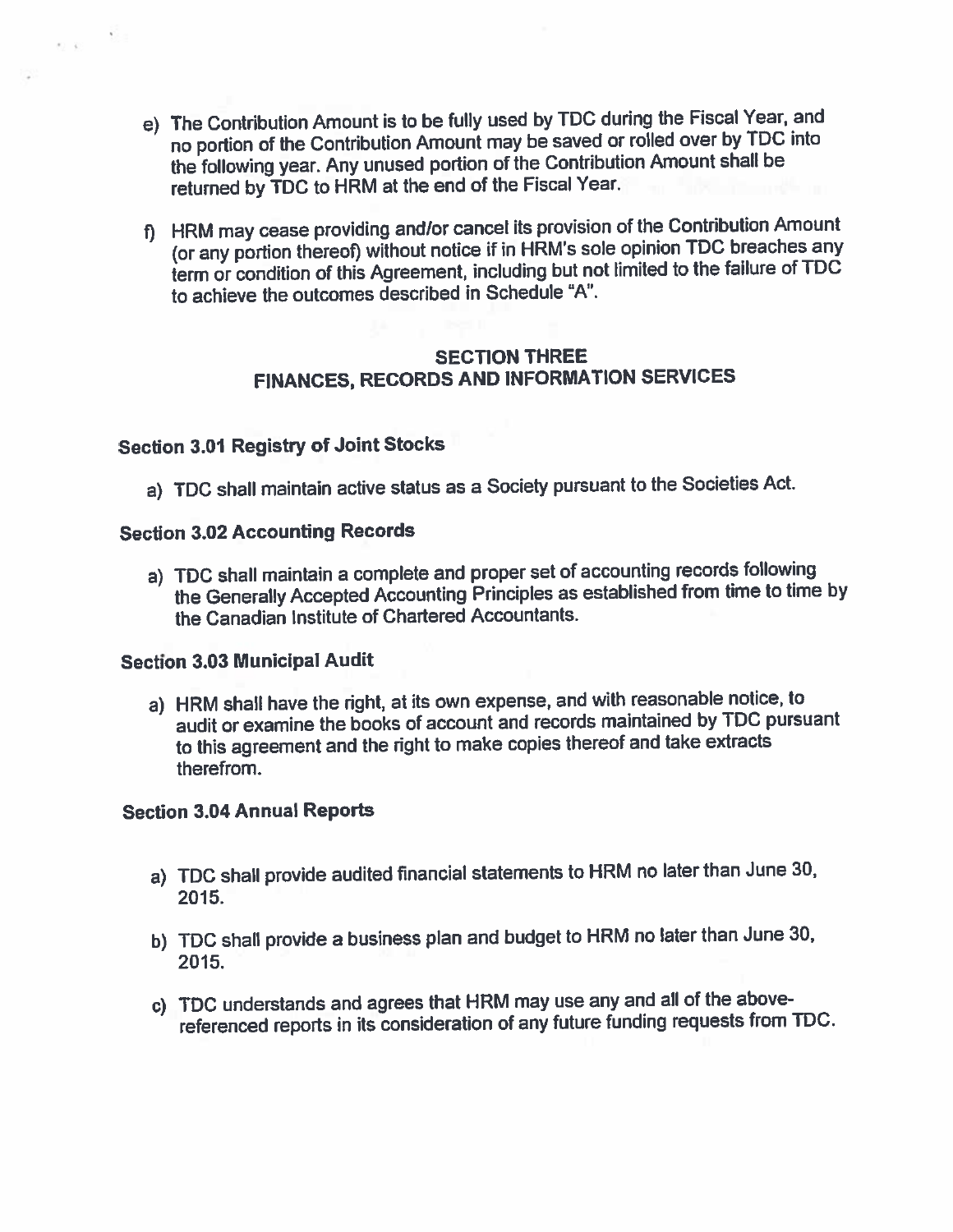- e) The Contribution Amount is to be fully used by TDC during the Fiscal Year, and no portion of the Contribution Amount may be saved or rolled over by TDC into the following year. Any unused portion of the Contribution Amount shall be returned by TDC to HRM at the end of the Fiscal Year.
- f) HRM may cease providing and/or cancel its provision of the Contribution Amount (or any portion thereof) without notice if in HRM's sole opinion TDC breaches any term or condition of this Agreement, including but not limited to the failure of TDC to achieve the outcomes described in Schedule "A".

# **SECTION THREE FINANCES, RECORDS AND INFORMATION SERVICES**

# **Section 3.01 Registry of Joint Stocks**

 $\alpha \ll \frac{1}{\sqrt{2}}$ 

a) TDC shall maintain active status as a Society pursuant to the Societies Act.

# **Section 3.02 Accounting Records**

a) TDC shall maintain a complete and proper set of accounting records following the Generally Accepted Accounting Principles as established from time to time by the Canadian Institute of Chartered Accountants.

# **Section 3.03 Municipal Audit**

a) HRM shall have the right, at its own expense, and with reasonable notice, to audit or examine the books of account and records maintained by TDC pursuant to this agreement and the right to make copies thereof and take extracts therefrom.

# **Section 3.04 Annual Reports**

- a) TDC shall provide audited financial statements to HRM no later than June 30, 2015.
- b) TDC shall provide a business plan and budget to HRM no later than June 30, 2015.
- c) TDC understands and agrees that HRM may use any and all of the abovereferenced reports in its consideration of any future funding requests from TDC.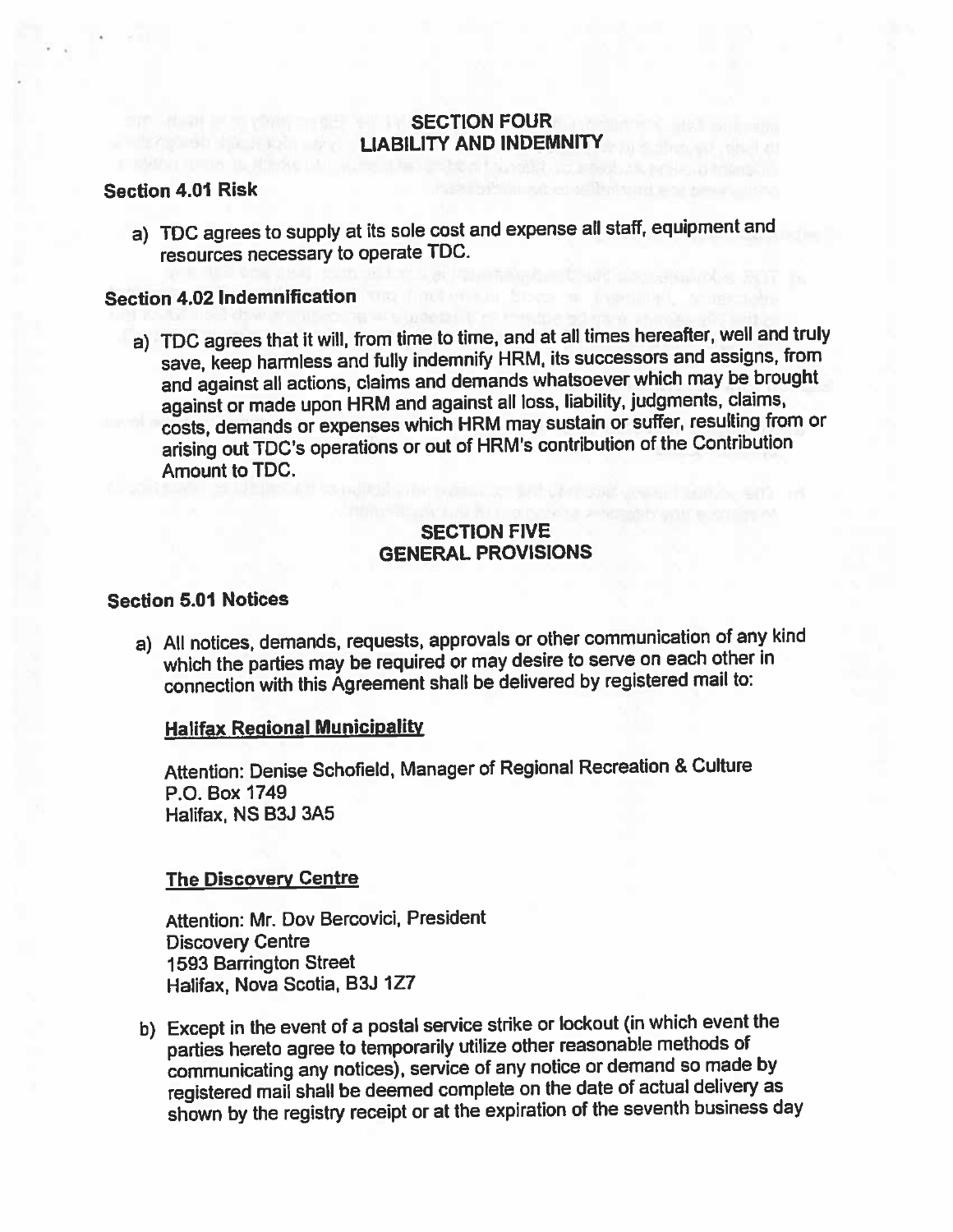# **SECTION FOUR LIABILITY AND INDEMNITY**

#### **Section 4.01 Risk**

a) TDC agrees to supply at its sole cost and expense all staff, equipment and resources necessary to operate TDC.

#### **Section 4.02 Indemnification**

a) TDC agrees that it will, from time to time, and at all times hereafter, well and truly save, keep harmless and fully indemnify HRM, its successors and assigns, from and against all actions, claims and demands whatsoever which may be brought against or made upon HRM and against all loss, liability, judgments, claims, costs, demands or expenses which HRM may sustain or suffer, resulting from or arising out TDC's operations or out of HRM's contribution of the Contribution **Amount to TDC.** 

# **SECTION FIVE GENERAL PROVISIONS**

# **Section 5.01 Notices**

a) All notices, demands, requests, approvals or other communication of any kind which the parties may be required or may desire to serve on each other in connection with this Agreement shall be delivered by registered mail to:

#### **Halifax Regional Municipality**

Attention: Denise Schofield, Manager of Regional Recreation & Culture P.O. Box 1749 Halifax, NS B3J 3A5

#### **The Discovery Centre**

Attention: Mr. Dov Bercovici, President **Discovery Centre 1593 Barrington Street** Halifax, Nova Scotia, B3J 1Z7

b) Except in the event of a postal service strike or lockout (in which event the parties hereto agree to temporarily utilize other reasonable methods of communicating any notices), service of any notice or demand so made by registered mail shall be deemed complete on the date of actual delivery as shown by the registry receipt or at the expiration of the seventh business day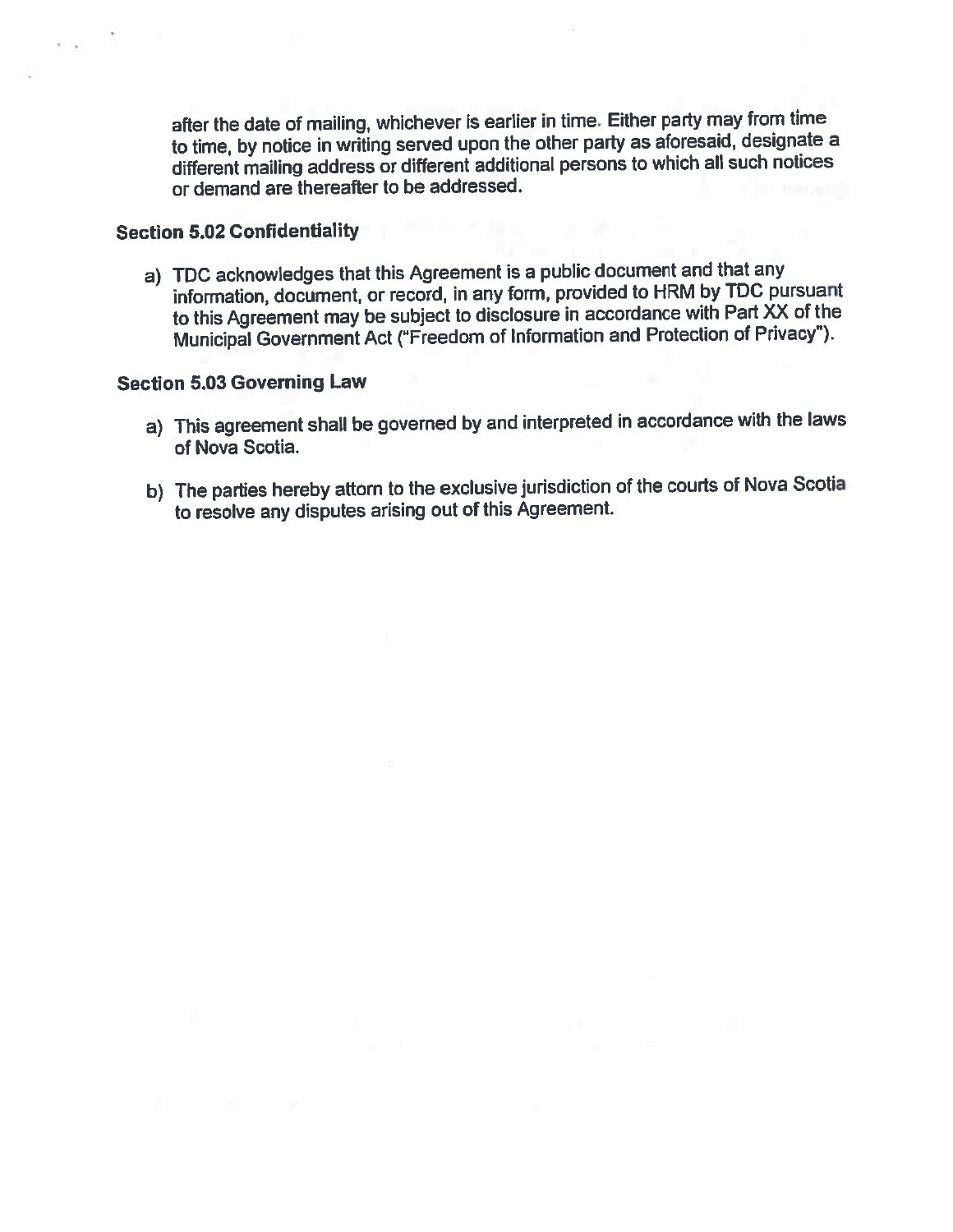after the date of mailing, whichever is earlier in time. Either party may from time to time, by notice in writing served upon the other party as aforesaid, designate a different mailing address or different additional persons to which all such notices or demand are thereafter to be addressed.

#### **Section 5.02 Confidentiality**

a) TDC acknowledges that this Agreement is a public document and that any information, document, or record, in any form, provided to HRM by TDC pursuant to this Agreement may be subject to disclosure in accordance with Part XX of the Municipal Government Act ("Freedom of Information and Protection of Privacy").

# **Section 5.03 Governing Law**

- a) This agreement shall be governed by and interpreted in accordance with the laws of Nova Scotia.
- b) The parties hereby attorn to the exclusive jurisdiction of the courts of Nova Scotia to resolve any disputes arising out of this Agreement.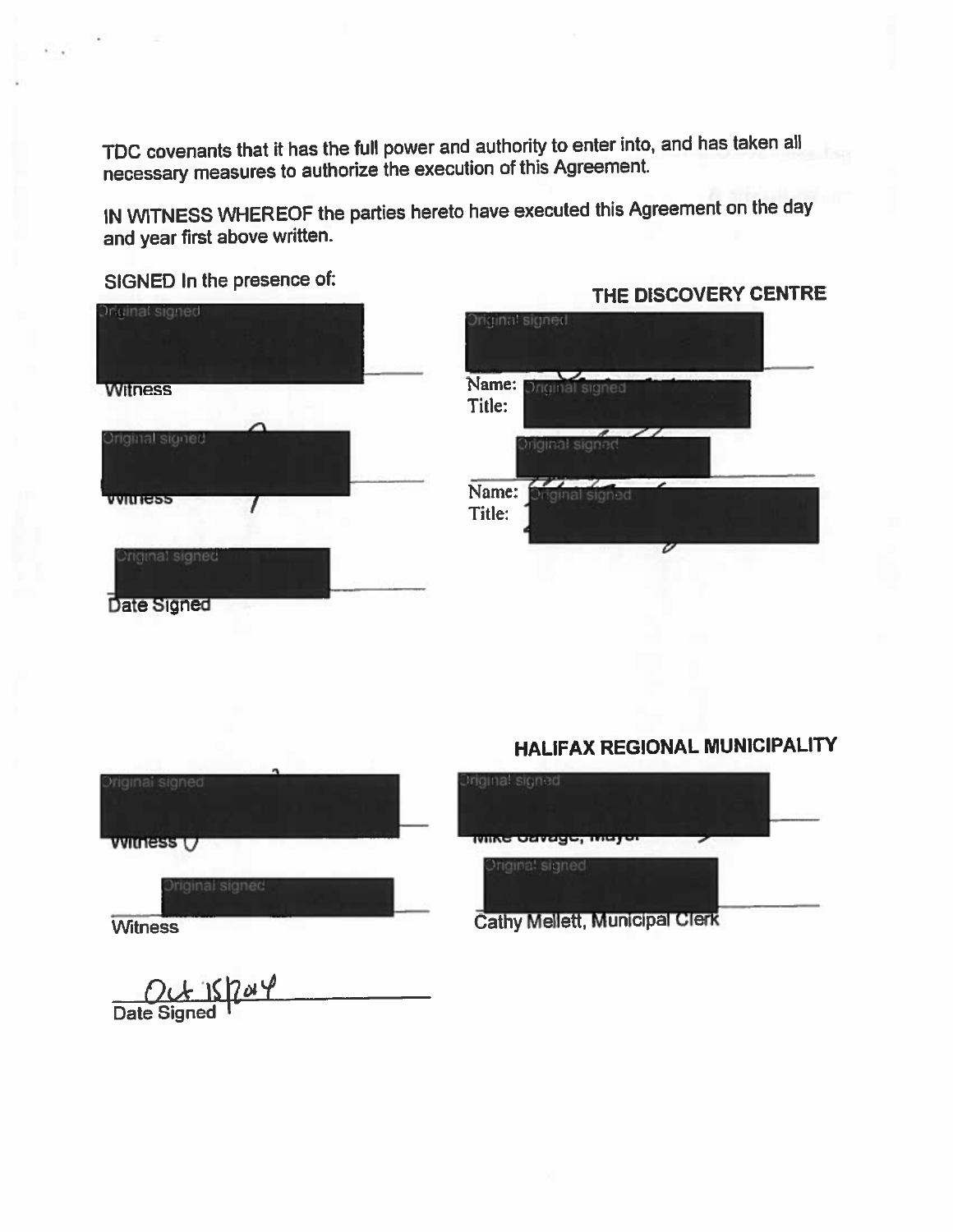TDC covenants that it has the full power and authority to enter into, and has taken all necessary measures to authorize the execution of this Agreement.

IN WITNESS WHEREOF the parties hereto have executed this Agreement on the day and year first above written.

SIGNED In the presence of:

Date Signed



|                 | riginal signed        |  |  |
|-----------------|-----------------------|--|--|
| Name:           | Original signed       |  |  |
| Title:          | Original signed       |  |  |
|                 |                       |  |  |
| Name:<br>Title: | <b>Miginal</b> signed |  |  |
|                 |                       |  |  |

THE DISCOVERY CENTRE

# **HALIFAX REGIONAL MUNICIPALITY**

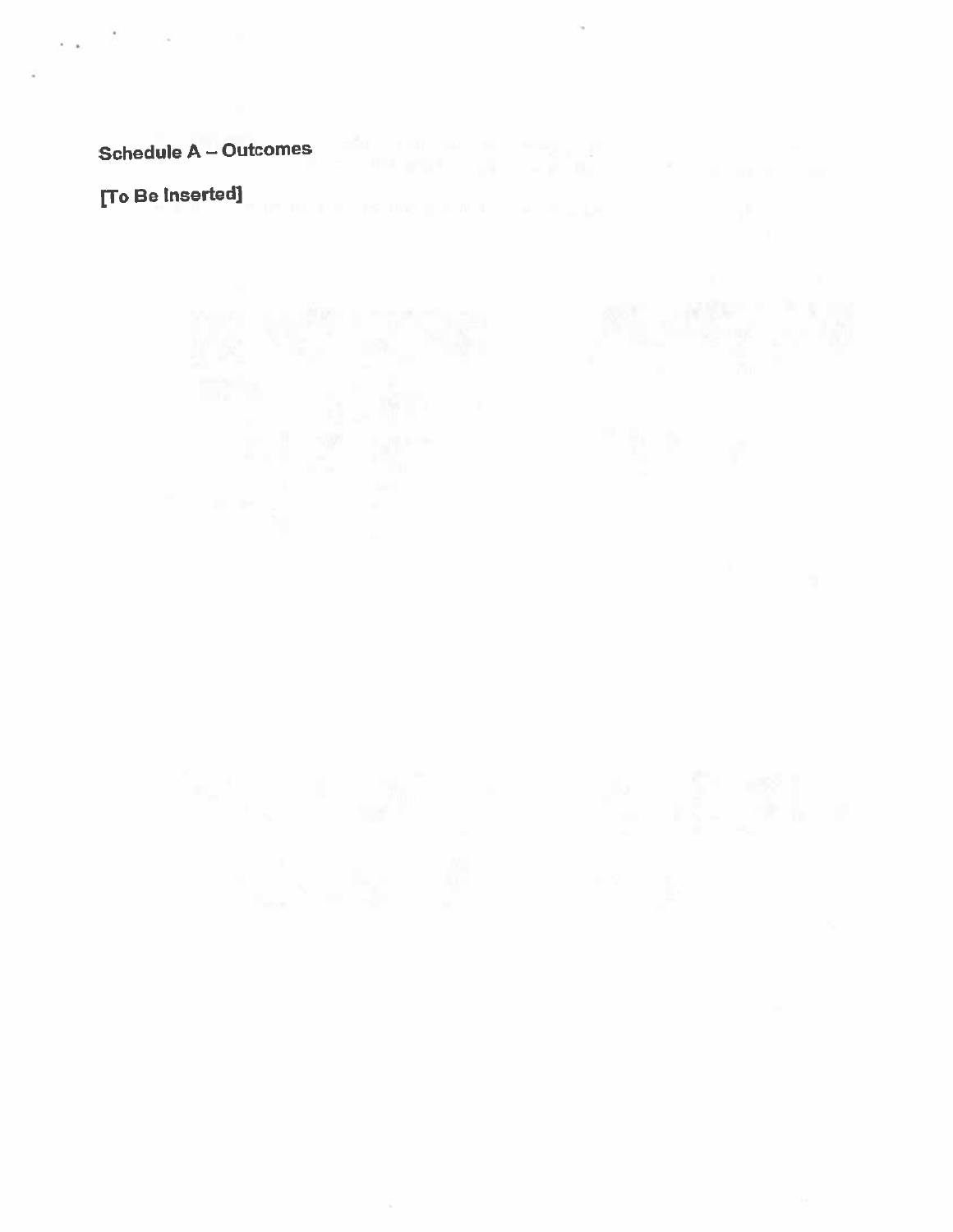# Schedule A – Outcomes

and the state of the

 $\epsilon = \epsilon_1$ 

[To Be Inserted]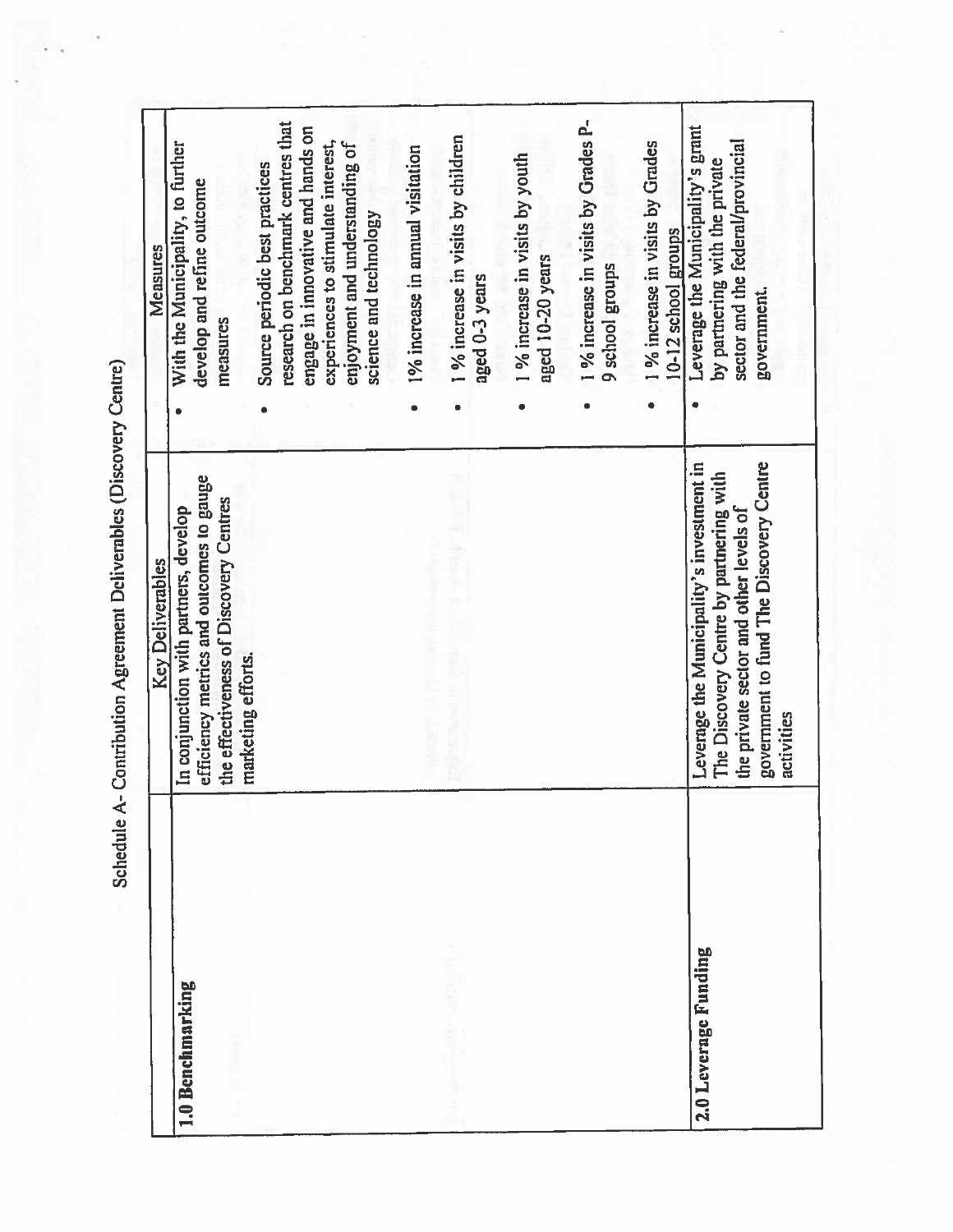Schedule A- Contribution Agreement Deliverables (Discovery Centre)

 $\lambda$ 

|                      | <b>Key Deliverables</b>                                                                                                                                                                 | Measures                                                                                                                                                                                                                       |
|----------------------|-----------------------------------------------------------------------------------------------------------------------------------------------------------------------------------------|--------------------------------------------------------------------------------------------------------------------------------------------------------------------------------------------------------------------------------|
| 1.0 Benchmarking     | efficiency metrics and outcomes to gauge<br>the effectiveness of Discovery Centres<br>In conjunction with partners, develop<br>marketing efforts.                                       | research on benchmark centres that<br>engage in innovative and hands on<br>experiences to stimulate interest,<br>With the Municipality, to further<br>Source periodic best practices<br>develop and refine outcome<br>measures |
|                      |                                                                                                                                                                                         | 1 % increase in visits by children<br>enjoyment and understanding of<br>1% increase in annual visitation<br>science and technology                                                                                             |
|                      |                                                                                                                                                                                         | 1 % increase in visits by youth<br>aged 10-20 years<br>aged 0-3 years                                                                                                                                                          |
|                      |                                                                                                                                                                                         | 1 % increase in visits by Grades P-<br>1 % increase in visits by Grades<br>9 school groups                                                                                                                                     |
| 2.0 Leverage Funding | government to fund The Discovery Centre<br>Leverage the Municipality's investment in<br>The Discovery Centre by partnering with<br>the private sector and other levels of<br>activities | Leverage the Municipality's grant<br>sector and the federal/provincial<br>by partnering with the private<br>10-12 school groups<br>government.                                                                                 |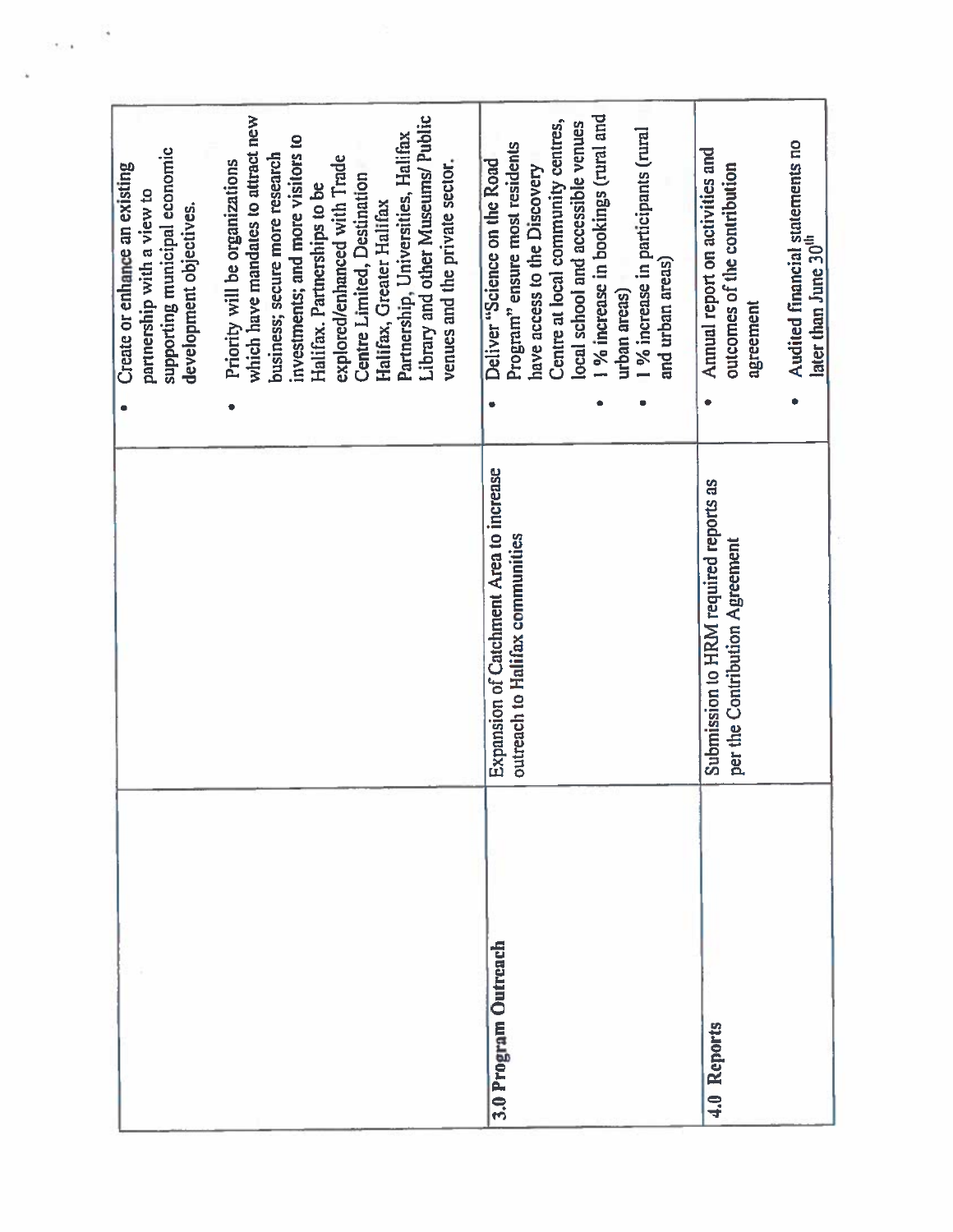| which have mandates to attract new<br>Library and other Museums/ Public<br>Partnership, Universities, Halifax<br>investments; and more visitors to<br>supporting municipal economic<br>business; secure more research<br>explored/enhanced with Trade<br>Priority will be organizations<br>venues and the private sector.<br>Create or enhance an existing<br>Centre Limited, Destination<br>Halifax. Partnerships to be<br>partnership with a view to<br>Halifax, Greater Halifax<br>development objectives. | 1 % increase in bookings (rural and<br>Centre at local community centres,<br>local school and accessible venues<br>1 % increase in participants (rural<br>Program" ensure most residents<br>Deliver "Science on the Road<br>have access to the Discovery<br>and urban areas)<br>urban areas) | Audited financial statements no<br>Annual report on activities and<br>outcomes of the contribution<br>later than June 30 <sup>th</sup><br>agreement |
|---------------------------------------------------------------------------------------------------------------------------------------------------------------------------------------------------------------------------------------------------------------------------------------------------------------------------------------------------------------------------------------------------------------------------------------------------------------------------------------------------------------|----------------------------------------------------------------------------------------------------------------------------------------------------------------------------------------------------------------------------------------------------------------------------------------------|-----------------------------------------------------------------------------------------------------------------------------------------------------|
|                                                                                                                                                                                                                                                                                                                                                                                                                                                                                                               | Expansion of Catchment Area to increase<br>outreach to Halifax communities                                                                                                                                                                                                                   | Submission to HRM required reports as<br>per the Contribution Agreement                                                                             |
|                                                                                                                                                                                                                                                                                                                                                                                                                                                                                                               | 3.0 Program Outreach                                                                                                                                                                                                                                                                         | 4.0 Reports                                                                                                                                         |